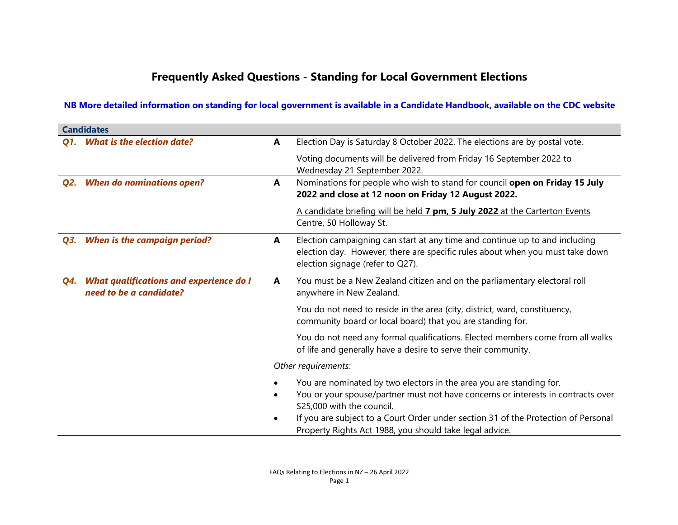## Frequently Asked Questions - Standing for Local Government Elections

## NB More detailed information on standing for local government is available in a Candidate Handbook, available on the CDC website

|     | <b>Candidates</b>                                                  |   |                                                                                                                                                                                                                                                                                                                                        |  |
|-----|--------------------------------------------------------------------|---|----------------------------------------------------------------------------------------------------------------------------------------------------------------------------------------------------------------------------------------------------------------------------------------------------------------------------------------|--|
|     | Q1. What is the election date?                                     | A | Election Day is Saturday 8 October 2022. The elections are by postal vote.                                                                                                                                                                                                                                                             |  |
|     |                                                                    |   | Voting documents will be delivered from Friday 16 September 2022 to<br>Wednesday 21 September 2022.                                                                                                                                                                                                                                    |  |
| Q2. | <b>When do nominations open?</b>                                   | A | Nominations for people who wish to stand for council open on Friday 15 July<br>2022 and close at 12 noon on Friday 12 August 2022.                                                                                                                                                                                                     |  |
|     |                                                                    |   | A candidate briefing will be held 7 pm, 5 July 2022 at the Carterton Events<br>Centre, 50 Holloway St.                                                                                                                                                                                                                                 |  |
| Q3. | <b>When is the campaign period?</b>                                | A | Election campaigning can start at any time and continue up to and including<br>election day. However, there are specific rules about when you must take down<br>election signage (refer to Q27).                                                                                                                                       |  |
| Q4. | What qualifications and experience do I<br>need to be a candidate? | A | You must be a New Zealand citizen and on the parliamentary electoral roll<br>anywhere in New Zealand.                                                                                                                                                                                                                                  |  |
|     |                                                                    |   | You do not need to reside in the area (city, district, ward, constituency,<br>community board or local board) that you are standing for.                                                                                                                                                                                               |  |
|     |                                                                    |   | You do not need any formal qualifications. Elected members come from all walks<br>of life and generally have a desire to serve their community.                                                                                                                                                                                        |  |
|     |                                                                    |   | Other requirements:                                                                                                                                                                                                                                                                                                                    |  |
|     |                                                                    |   | You are nominated by two electors in the area you are standing for.<br>You or your spouse/partner must not have concerns or interests in contracts over<br>\$25,000 with the council.<br>If you are subject to a Court Order under section 31 of the Protection of Personal<br>Property Rights Act 1988, you should take legal advice. |  |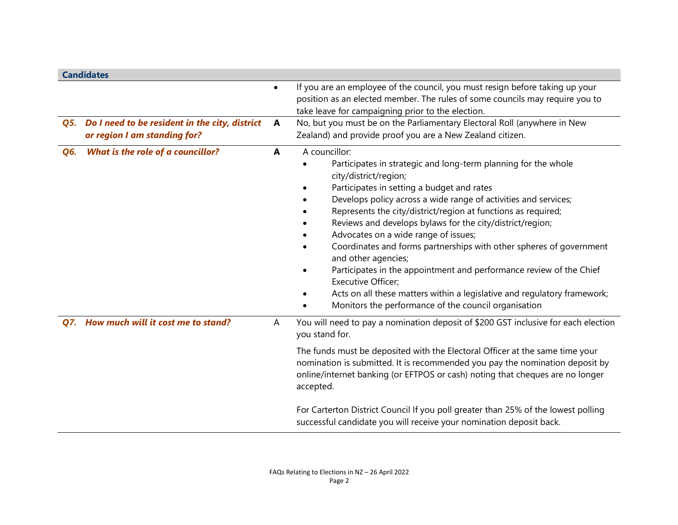|     | <b>Candidates</b>                                                              |              |                                                                                                                                                                                                                                                                                                                                                                                                                                                                                                                                                                                                                                                                                                                                       |
|-----|--------------------------------------------------------------------------------|--------------|---------------------------------------------------------------------------------------------------------------------------------------------------------------------------------------------------------------------------------------------------------------------------------------------------------------------------------------------------------------------------------------------------------------------------------------------------------------------------------------------------------------------------------------------------------------------------------------------------------------------------------------------------------------------------------------------------------------------------------------|
|     |                                                                                | $\bullet$    | If you are an employee of the council, you must resign before taking up your<br>position as an elected member. The rules of some councils may require you to<br>take leave for campaigning prior to the election.                                                                                                                                                                                                                                                                                                                                                                                                                                                                                                                     |
| Q5. | Do I need to be resident in the city, district<br>or region I am standing for? | A            | No, but you must be on the Parliamentary Electoral Roll (anywhere in New<br>Zealand) and provide proof you are a New Zealand citizen.                                                                                                                                                                                                                                                                                                                                                                                                                                                                                                                                                                                                 |
| Q6. | What is the role of a councillor?                                              | $\mathbf{A}$ | A councillor:<br>Participates in strategic and long-term planning for the whole<br>city/district/region;<br>Participates in setting a budget and rates<br>Develops policy across a wide range of activities and services;<br>Represents the city/district/region at functions as required;<br>Reviews and develops bylaws for the city/district/region;<br>Advocates on a wide range of issues;<br>Coordinates and forms partnerships with other spheres of government<br>and other agencies;<br>Participates in the appointment and performance review of the Chief<br><b>Executive Officer;</b><br>Acts on all these matters within a legislative and regulatory framework;<br>Monitors the performance of the council organisation |
|     | Q7. How much will it cost me to stand?                                         | A            | You will need to pay a nomination deposit of \$200 GST inclusive for each election<br>you stand for.<br>The funds must be deposited with the Electoral Officer at the same time your<br>nomination is submitted. It is recommended you pay the nomination deposit by<br>online/internet banking (or EFTPOS or cash) noting that cheques are no longer<br>accepted.<br>For Carterton District Council If you poll greater than 25% of the lowest polling                                                                                                                                                                                                                                                                               |
|     |                                                                                |              | successful candidate you will receive your nomination deposit back.                                                                                                                                                                                                                                                                                                                                                                                                                                                                                                                                                                                                                                                                   |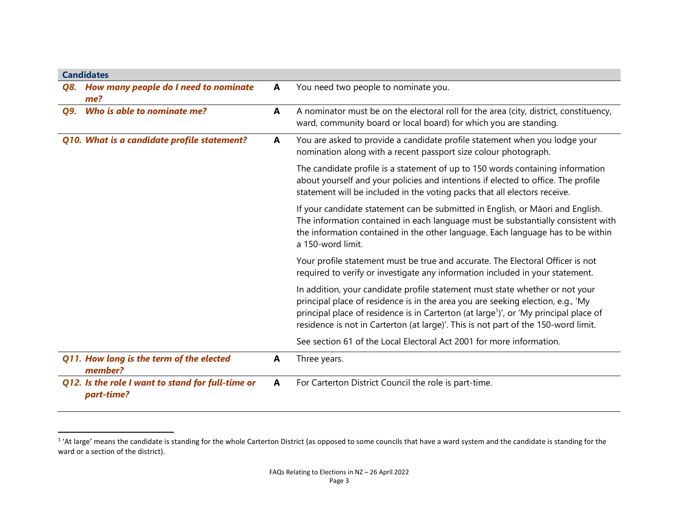| <b>Candidates</b>                                               |   |                                                                                                                                                                                                                                                                                                                                                            |  |
|-----------------------------------------------------------------|---|------------------------------------------------------------------------------------------------------------------------------------------------------------------------------------------------------------------------------------------------------------------------------------------------------------------------------------------------------------|--|
| Q8. How many people do I need to nominate<br>me?                | A | You need two people to nominate you.                                                                                                                                                                                                                                                                                                                       |  |
| Who is able to nominate me?<br>Q9.                              | A | A nominator must be on the electoral roll for the area (city, district, constituency,<br>ward, community board or local board) for which you are standing.                                                                                                                                                                                                 |  |
| Q10. What is a candidate profile statement?                     | A | You are asked to provide a candidate profile statement when you lodge your<br>nomination along with a recent passport size colour photograph.                                                                                                                                                                                                              |  |
|                                                                 |   | The candidate profile is a statement of up to 150 words containing information<br>about yourself and your policies and intentions if elected to office. The profile<br>statement will be included in the voting packs that all electors receive.                                                                                                           |  |
|                                                                 |   | If your candidate statement can be submitted in English, or Māori and English.<br>The information contained in each language must be substantially consistent with<br>the information contained in the other language. Each language has to be within<br>a 150-word limit.                                                                                 |  |
|                                                                 |   | Your profile statement must be true and accurate. The Electoral Officer is not<br>required to verify or investigate any information included in your statement.                                                                                                                                                                                            |  |
|                                                                 |   | In addition, your candidate profile statement must state whether or not your<br>principal place of residence is in the area you are seeking election, e.g., 'My<br>principal place of residence is in Carterton (at large <sup>1</sup> )', or 'My principal place of<br>residence is not in Carterton (at large)'. This is not part of the 150-word limit. |  |
|                                                                 |   | See section 61 of the Local Electoral Act 2001 for more information.                                                                                                                                                                                                                                                                                       |  |
| Q11. How long is the term of the elected<br>member?             | A | Three years.                                                                                                                                                                                                                                                                                                                                               |  |
| Q12. Is the role I want to stand for full-time or<br>part-time? | A | For Carterton District Council the role is part-time.                                                                                                                                                                                                                                                                                                      |  |

 $1$  'At large' means the candidate is standing for the whole Carterton District (as opposed to some councils that have a ward system and the candidate is standing for the ward or a section of the district).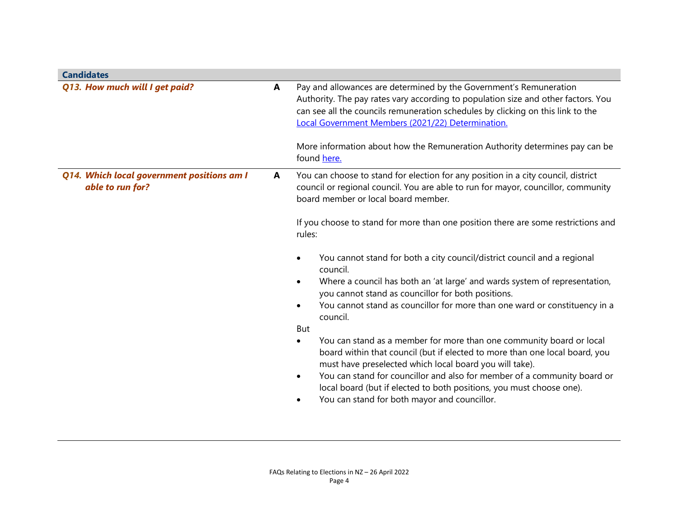| <b>Candidates</b>                                              |   |                                                                                                                                                                                                                                                                                                                                                                                                                                      |
|----------------------------------------------------------------|---|--------------------------------------------------------------------------------------------------------------------------------------------------------------------------------------------------------------------------------------------------------------------------------------------------------------------------------------------------------------------------------------------------------------------------------------|
| Q13. How much will I get paid?                                 | A | Pay and allowances are determined by the Government's Remuneration<br>Authority. The pay rates vary according to population size and other factors. You<br>can see all the councils remuneration schedules by clicking on this link to the<br>Local Government Members (2021/22) Determination.<br>More information about how the Remuneration Authority determines pay can be<br>found here.                                        |
|                                                                |   |                                                                                                                                                                                                                                                                                                                                                                                                                                      |
| Q14. Which local government positions am I<br>able to run for? | A | You can choose to stand for election for any position in a city council, district<br>council or regional council. You are able to run for mayor, councillor, community<br>board member or local board member.                                                                                                                                                                                                                        |
|                                                                |   | If you choose to stand for more than one position there are some restrictions and<br>rules:                                                                                                                                                                                                                                                                                                                                          |
|                                                                |   | You cannot stand for both a city council/district council and a regional<br>٠<br>council.                                                                                                                                                                                                                                                                                                                                            |
|                                                                |   | Where a council has both an 'at large' and wards system of representation,<br>$\bullet$<br>you cannot stand as councillor for both positions.                                                                                                                                                                                                                                                                                        |
|                                                                |   | You cannot stand as councillor for more than one ward or constituency in a<br>council.                                                                                                                                                                                                                                                                                                                                               |
|                                                                |   | But                                                                                                                                                                                                                                                                                                                                                                                                                                  |
|                                                                |   | You can stand as a member for more than one community board or local<br>$\bullet$<br>board within that council (but if elected to more than one local board, you<br>must have preselected which local board you will take).<br>You can stand for councillor and also for member of a community board or<br>٠<br>local board (but if elected to both positions, you must choose one).<br>You can stand for both mayor and councillor. |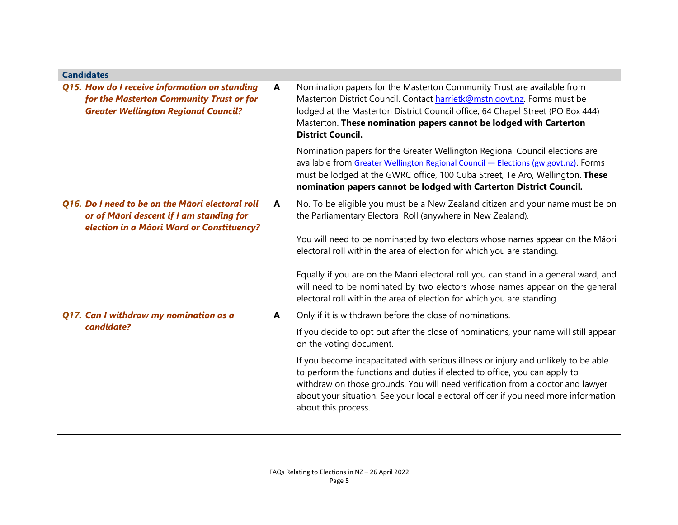| <b>Candidates</b>                                                                                                                         |   |                                                                                                                                                                                                                                                                                                                                                                  |
|-------------------------------------------------------------------------------------------------------------------------------------------|---|------------------------------------------------------------------------------------------------------------------------------------------------------------------------------------------------------------------------------------------------------------------------------------------------------------------------------------------------------------------|
| Q15. How do I receive information on standing<br>for the Masterton Community Trust or for<br><b>Greater Wellington Regional Council?</b>  | A | Nomination papers for the Masterton Community Trust are available from<br>Masterton District Council. Contact harrietk@mstn.govt.nz. Forms must be<br>lodged at the Masterton District Council office, 64 Chapel Street (PO Box 444)<br>Masterton. These nomination papers cannot be lodged with Carterton<br><b>District Council.</b>                           |
|                                                                                                                                           |   | Nomination papers for the Greater Wellington Regional Council elections are<br>available from Greater Wellington Regional Council - Elections (gw.govt.nz). Forms<br>must be lodged at the GWRC office, 100 Cuba Street, Te Aro, Wellington. These<br>nomination papers cannot be lodged with Carterton District Council.                                        |
| Q16. Do I need to be on the Māori electoral roll<br>or of Māori descent if I am standing for<br>election in a Māori Ward or Constituency? | A | No. To be eligible you must be a New Zealand citizen and your name must be on<br>the Parliamentary Electoral Roll (anywhere in New Zealand).                                                                                                                                                                                                                     |
|                                                                                                                                           |   | You will need to be nominated by two electors whose names appear on the Māori<br>electoral roll within the area of election for which you are standing.                                                                                                                                                                                                          |
|                                                                                                                                           |   | Equally if you are on the Māori electoral roll you can stand in a general ward, and<br>will need to be nominated by two electors whose names appear on the general<br>electoral roll within the area of election for which you are standing.                                                                                                                     |
| Q17. Can I withdraw my nomination as a                                                                                                    | A | Only if it is withdrawn before the close of nominations.                                                                                                                                                                                                                                                                                                         |
| candidate?                                                                                                                                |   | If you decide to opt out after the close of nominations, your name will still appear<br>on the voting document.                                                                                                                                                                                                                                                  |
|                                                                                                                                           |   | If you become incapacitated with serious illness or injury and unlikely to be able<br>to perform the functions and duties if elected to office, you can apply to<br>withdraw on those grounds. You will need verification from a doctor and lawyer<br>about your situation. See your local electoral officer if you need more information<br>about this process. |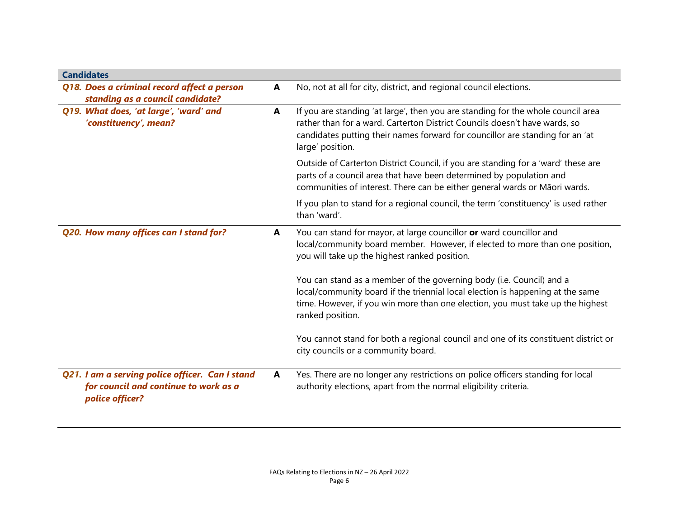| <b>Candidates</b>                                                                                           |   |                                                                                                                                                                                                                                                                     |
|-------------------------------------------------------------------------------------------------------------|---|---------------------------------------------------------------------------------------------------------------------------------------------------------------------------------------------------------------------------------------------------------------------|
| Q18. Does a criminal record affect a person                                                                 | A | No, not at all for city, district, and regional council elections.                                                                                                                                                                                                  |
| standing as a council candidate?                                                                            |   |                                                                                                                                                                                                                                                                     |
| Q19. What does, 'at large', 'ward' and<br>'constituency', mean?                                             | A | If you are standing 'at large', then you are standing for the whole council area<br>rather than for a ward. Carterton District Councils doesn't have wards, so<br>candidates putting their names forward for councillor are standing for an 'at<br>large' position. |
|                                                                                                             |   | Outside of Carterton District Council, if you are standing for a 'ward' these are<br>parts of a council area that have been determined by population and<br>communities of interest. There can be either general wards or Māori wards.                              |
|                                                                                                             |   | If you plan to stand for a regional council, the term 'constituency' is used rather<br>than 'ward'.                                                                                                                                                                 |
| Q20. How many offices can I stand for?                                                                      | A | You can stand for mayor, at large councillor or ward councillor and<br>local/community board member. However, if elected to more than one position,<br>you will take up the highest ranked position.                                                                |
|                                                                                                             |   | You can stand as a member of the governing body (i.e. Council) and a<br>local/community board if the triennial local election is happening at the same<br>time. However, if you win more than one election, you must take up the highest<br>ranked position.        |
|                                                                                                             |   | You cannot stand for both a regional council and one of its constituent district or<br>city councils or a community board.                                                                                                                                          |
| Q21. I am a serving police officer. Can I stand<br>for council and continue to work as a<br>police officer? | A | Yes. There are no longer any restrictions on police officers standing for local<br>authority elections, apart from the normal eligibility criteria.                                                                                                                 |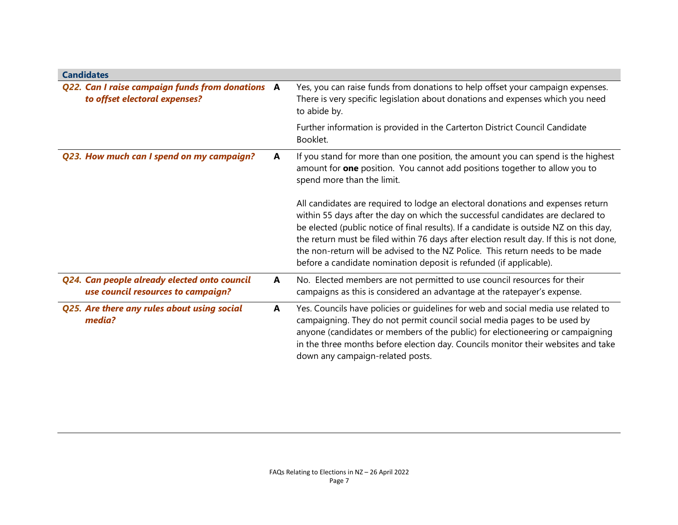| <b>Candidates</b>                                                                  |   |                                                                                                                                                                                                                                                                                                                                                                                                                                                                                                                |
|------------------------------------------------------------------------------------|---|----------------------------------------------------------------------------------------------------------------------------------------------------------------------------------------------------------------------------------------------------------------------------------------------------------------------------------------------------------------------------------------------------------------------------------------------------------------------------------------------------------------|
| Q22. Can I raise campaign funds from donations A<br>to offset electoral expenses?  |   | Yes, you can raise funds from donations to help offset your campaign expenses.<br>There is very specific legislation about donations and expenses which you need<br>to abide by.                                                                                                                                                                                                                                                                                                                               |
|                                                                                    |   | Further information is provided in the Carterton District Council Candidate<br>Booklet.                                                                                                                                                                                                                                                                                                                                                                                                                        |
| Q23. How much can I spend on my campaign?                                          | A | If you stand for more than one position, the amount you can spend is the highest<br>amount for <b>one</b> position. You cannot add positions together to allow you to<br>spend more than the limit.                                                                                                                                                                                                                                                                                                            |
|                                                                                    |   | All candidates are required to lodge an electoral donations and expenses return<br>within 55 days after the day on which the successful candidates are declared to<br>be elected (public notice of final results). If a candidate is outside NZ on this day,<br>the return must be filed within 76 days after election result day. If this is not done,<br>the non-return will be advised to the NZ Police. This return needs to be made<br>before a candidate nomination deposit is refunded (if applicable). |
| Q24. Can people already elected onto council<br>use council resources to campaign? | A | No. Elected members are not permitted to use council resources for their<br>campaigns as this is considered an advantage at the ratepayer's expense.                                                                                                                                                                                                                                                                                                                                                           |
| Q25. Are there any rules about using social<br>media?                              | A | Yes. Councils have policies or guidelines for web and social media use related to<br>campaigning. They do not permit council social media pages to be used by<br>anyone (candidates or members of the public) for electioneering or campaigning<br>in the three months before election day. Councils monitor their websites and take<br>down any campaign-related posts.                                                                                                                                       |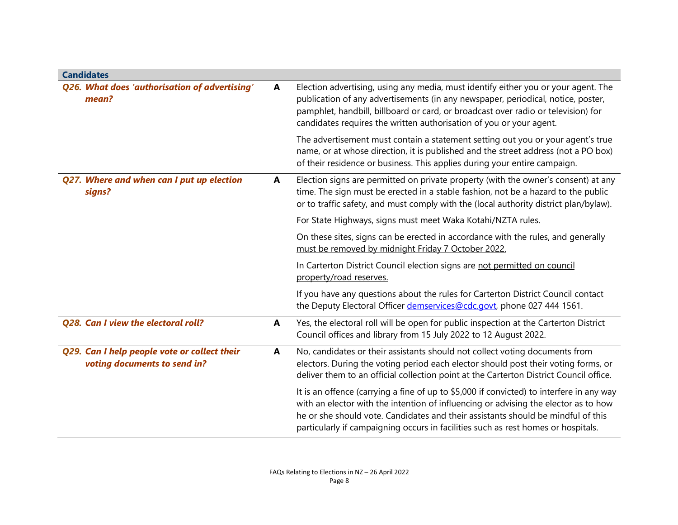| <b>Candidates</b>                                                            |   |                                                                                                                                                                                                                                                                                                                                                          |  |
|------------------------------------------------------------------------------|---|----------------------------------------------------------------------------------------------------------------------------------------------------------------------------------------------------------------------------------------------------------------------------------------------------------------------------------------------------------|--|
| Q26. What does 'authorisation of advertising'<br>mean?                       | A | Election advertising, using any media, must identify either you or your agent. The<br>publication of any advertisements (in any newspaper, periodical, notice, poster,<br>pamphlet, handbill, billboard or card, or broadcast over radio or television) for<br>candidates requires the written authorisation of you or your agent.                       |  |
|                                                                              |   | The advertisement must contain a statement setting out you or your agent's true<br>name, or at whose direction, it is published and the street address (not a PO box)<br>of their residence or business. This applies during your entire campaign.                                                                                                       |  |
| Q27. Where and when can I put up election<br>signs?                          | A | Election signs are permitted on private property (with the owner's consent) at any<br>time. The sign must be erected in a stable fashion, not be a hazard to the public<br>or to traffic safety, and must comply with the (local authority district plan/bylaw).                                                                                         |  |
|                                                                              |   | For State Highways, signs must meet Waka Kotahi/NZTA rules.                                                                                                                                                                                                                                                                                              |  |
|                                                                              |   | On these sites, signs can be erected in accordance with the rules, and generally<br>must be removed by midnight Friday 7 October 2022.                                                                                                                                                                                                                   |  |
|                                                                              |   | In Carterton District Council election signs are not permitted on council<br>property/road reserves.                                                                                                                                                                                                                                                     |  |
|                                                                              |   | If you have any questions about the rules for Carterton District Council contact<br>the Deputy Electoral Officer demservices@cdc.govt, phone 027 444 1561.                                                                                                                                                                                               |  |
| Q28. Can I view the electoral roll?                                          | A | Yes, the electoral roll will be open for public inspection at the Carterton District<br>Council offices and library from 15 July 2022 to 12 August 2022.                                                                                                                                                                                                 |  |
| Q29. Can I help people vote or collect their<br>voting documents to send in? | A | No, candidates or their assistants should not collect voting documents from<br>electors. During the voting period each elector should post their voting forms, or<br>deliver them to an official collection point at the Carterton District Council office.                                                                                              |  |
|                                                                              |   | It is an offence (carrying a fine of up to \$5,000 if convicted) to interfere in any way<br>with an elector with the intention of influencing or advising the elector as to how<br>he or she should vote. Candidates and their assistants should be mindful of this<br>particularly if campaigning occurs in facilities such as rest homes or hospitals. |  |